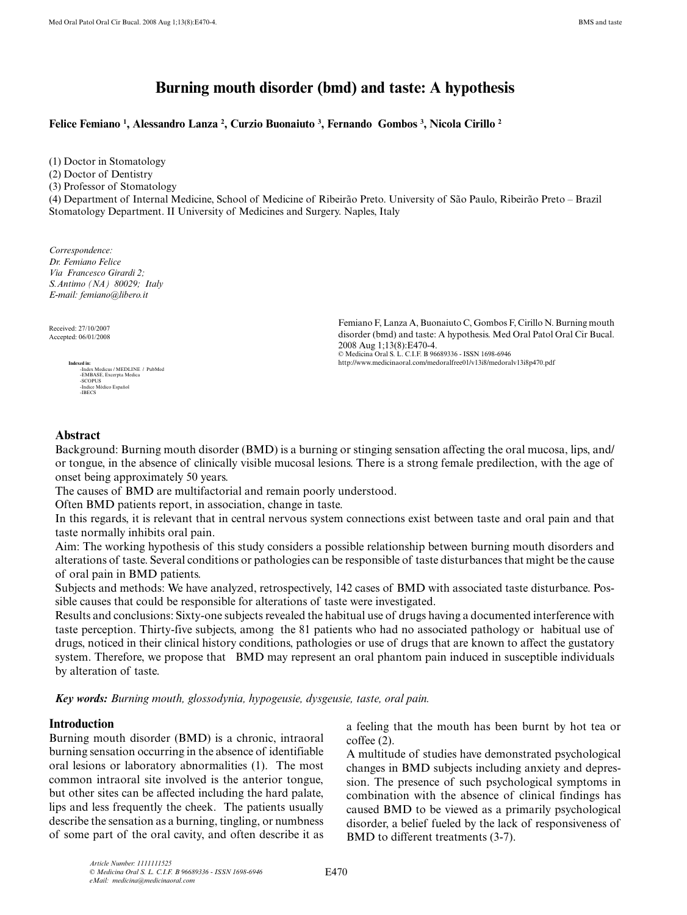# **Burning mouth disorder (bmd) and taste: A hypothesis**

**Felice Femiano 1 , Alessandro Lanza 2 , Curzio Buonaiuto 3 , Fernando Gombos 3 , Nicola Cirillo 2** 

(1) Doctor in Stomatology (2) Doctor of Dentistry (3) Professor of Stomatology (4) Department of Internal Medicine, School of Medicine of Ribeirão Preto. University of São Paulo, Ribeirão Preto – Brazil Stomatology Department. II University of Medicines and Surgery. Naples, Italy

*Correspondence: Dr. Femiano Felice Via Francesco Girardi 2; S.Antimo (NA) 80029; Italy E-mail: femiano@libero.it* 

Received: 27/10/2007 Accepted: 06/01/2008



Femiano F, Lanza A, Buonaiuto C, Gombos F, Cirillo N. Burning mouth disorder (bmd) and taste: A hypothesis. Med Oral Patol Oral Cir Bucal. 2008 Aug 1;13(8):E470-4. © Medicina Oral S. L. C.I.F. B 96689336 - ISSN 1698-6946 http://www.medicinaoral.com/medoralfree01/v13i8/medoralv13i8p470.pdf

#### **Abstract**

Background: Burning mouth disorder (BMD) is a burning or stinging sensation affecting the oral mucosa, lips, and/ or tongue, in the absence of clinically visible mucosal lesions. There is a strong female predilection, with the age of onset being approximately 50 years.

The causes of BMD are multifactorial and remain poorly understood.

Often BMD patients report, in association, change in taste.

In this regards, it is relevant that in central nervous system connections exist between taste and oral pain and that taste normally inhibits oral pain.

Aim: The working hypothesis of this study considers a possible relationship between burning mouth disorders and alterations of taste. Several conditions or pathologies can be responsible of taste disturbances that might be the cause of oral pain in BMD patients.

Subjects and methods: We have analyzed, retrospectively, 142 cases of BMD with associated taste disturbance. Possible causes that could be responsible for alterations of taste were investigated.

Results and conclusions: Sixty-one subjects revealed the habitual use of drugs having a documented interference with taste perception. Thirty-five subjects, among the 81 patients who had no associated pathology or habitual use of drugs, noticed in their clinical history conditions, pathologies or use of drugs that are known to affect the gustatory system. Therefore, we propose that BMD may represent an oral phantom pain induced in susceptible individuals by alteration of taste.

*Key words: Burning mouth, glossodynia, hypogeusie, dysgeusie, taste, oral pain.*

#### **Introduction**

Burning mouth disorder (BMD) is a chronic, intraoral burning sensation occurring in the absence of identifiable oral lesions or laboratory abnormalities (1). The most common intraoral site involved is the anterior tongue, but other sites can be affected including the hard palate, lips and less frequently the cheek. The patients usually describe the sensation as a burning, tingling, or numbness of some part of the oral cavity, and often describe it as a feeling that the mouth has been burnt by hot tea or coffee (2).

A multitude of studies have demonstrated psychological changes in BMD subjects including anxiety and depression. The presence of such psychological symptoms in combination with the absence of clinical findings has caused BMD to be viewed as a primarily psychological disorder, a belief fueled by the lack of responsiveness of BMD to different treatments (3-7).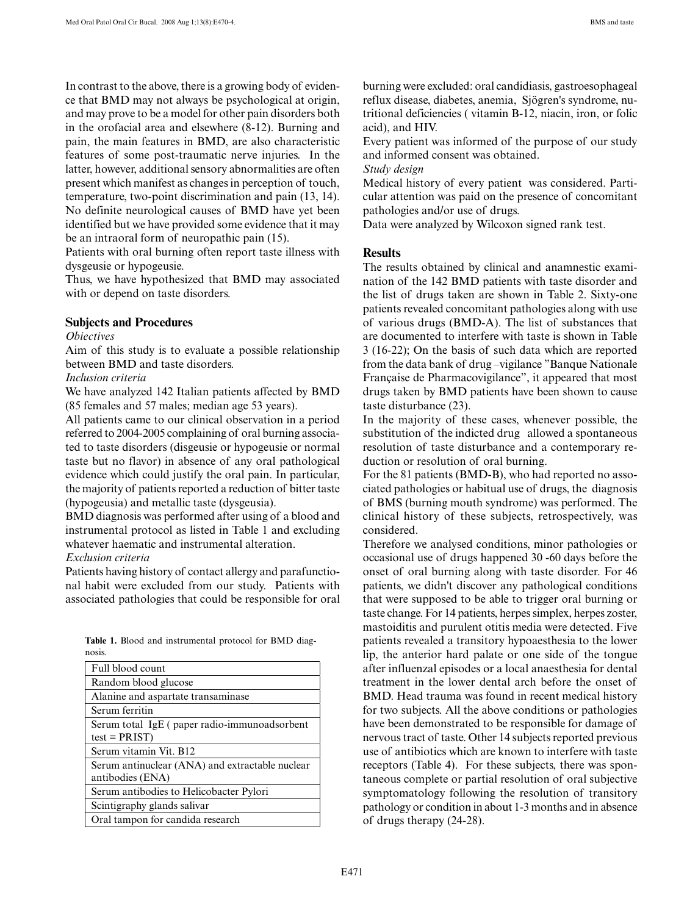In contrast to the above, there is a growing body of evidence that BMD may not always be psychological at origin, and may prove to be a model for other pain disorders both in the orofacial area and elsewhere (8-12). Burning and pain, the main features in BMD, are also characteristic features of some post-traumatic nerve injuries. In the latter, however, additional sensory abnormalities are often present which manifest as changes in perception of touch, temperature, two-point discrimination and pain (13, 14). No definite neurological causes of BMD have yet been identified but we have provided some evidence that it may be an intraoral form of neuropathic pain (15).

Patients with oral burning often report taste illness with dysgeusie or hypogeusie.

Thus, we have hypothesized that BMD may associated with or depend on taste disorders.

#### **Subjects and Procedures**

#### *Obiectives*

Aim of this study is to evaluate a possible relationship between BMD and taste disorders.

#### *Inclusion criteria*

We have analyzed 142 Italian patients affected by BMD (85 females and 57 males; median age 53 years).

All patients came to our clinical observation in a period referred to 2004-2005 complaining of oral burning associated to taste disorders (disgeusie or hypogeusie or normal taste but no flavor) in absence of any oral pathological evidence which could justify the oral pain. In particular, the majority of patients reported a reduction of bitter taste (hypogeusia) and metallic taste (dysgeusia).

BMD diagnosis was performed after using of a blood and instrumental protocol as listed in Table 1 and excluding whatever haematic and instrumental alteration.

#### *Exclusion criteria*

Patients having history of contact allergy and parafunctional habit were excluded from our study. Patients with associated pathologies that could be responsible for oral

|        |  | <b>Table 1.</b> Blood and instrumental protocol for BMD diag- |  |  |
|--------|--|---------------------------------------------------------------|--|--|
| nosis. |  |                                                               |  |  |

| Full blood count                                |
|-------------------------------------------------|
| Random blood glucose                            |
| Alanine and aspartate transaminase              |
| Serum ferritin                                  |
| Serum total IgE (paper radio-immunoadsorbent    |
| $test = PRIST$                                  |
| Serum vitamin Vit. B12                          |
| Serum antinuclear (ANA) and extractable nuclear |
| antibodies (ENA)                                |
| Serum antibodies to Helicobacter Pylori         |
| Scintigraphy glands salivar                     |
| Oral tampon for candida research                |

burning were excluded: oral candidiasis, gastroesophageal reflux disease, diabetes, anemia, Sjögren's syndrome, nutritional deficiencies ( vitamin B-12, niacin, iron, or folic acid), and HIV.

Every patient was informed of the purpose of our study and informed consent was obtained.

*Study design*

Medical history of every patient was considered. Particular attention was paid on the presence of concomitant pathologies and/or use of drugs.

Data were analyzed by Wilcoxon signed rank test.

#### **Results**

The results obtained by clinical and anamnestic examination of the 142 BMD patients with taste disorder and the list of drugs taken are shown in Table 2. Sixty-one patients revealed concomitant pathologies along with use of various drugs (BMD-A). The list of substances that are documented to interfere with taste is shown in Table 3 (16-22); On the basis of such data which are reported from the data bank of drug –vigilance "Banque Nationale Française de Pharmacovigilance", it appeared that most drugs taken by BMD patients have been shown to cause taste disturbance (23).

In the majority of these cases, whenever possible, the substitution of the indicted drug allowed a spontaneous resolution of taste disturbance and a contemporary reduction or resolution of oral burning.

For the 81 patients (BMD-B), who had reported no associated pathologies or habitual use of drugs, the diagnosis of BMS (burning mouth syndrome) was performed. The clinical history of these subjects, retrospectively, was considered.

Therefore we analysed conditions, minor pathologies or occasional use of drugs happened 30 -60 days before the onset of oral burning along with taste disorder. For 46 patients, we didn't discover any pathological conditions that were supposed to be able to trigger oral burning or taste change. For 14 patients, herpes simplex, herpes zoster, mastoiditis and purulent otitis media were detected. Five patients revealed a transitory hypoaesthesia to the lower lip, the anterior hard palate or one side of the tongue after influenzal episodes or a local anaesthesia for dental treatment in the lower dental arch before the onset of BMD. Head trauma was found in recent medical history for two subjects. All the above conditions or pathologies have been demonstrated to be responsible for damage of nervous tract of taste. Other 14 subjects reported previous use of antibiotics which are known to interfere with taste receptors (Table 4). For these subjects, there was spontaneous complete or partial resolution of oral subjective symptomatology following the resolution of transitory pathology or condition in about 1-3 months and in absence of drugs therapy (24-28).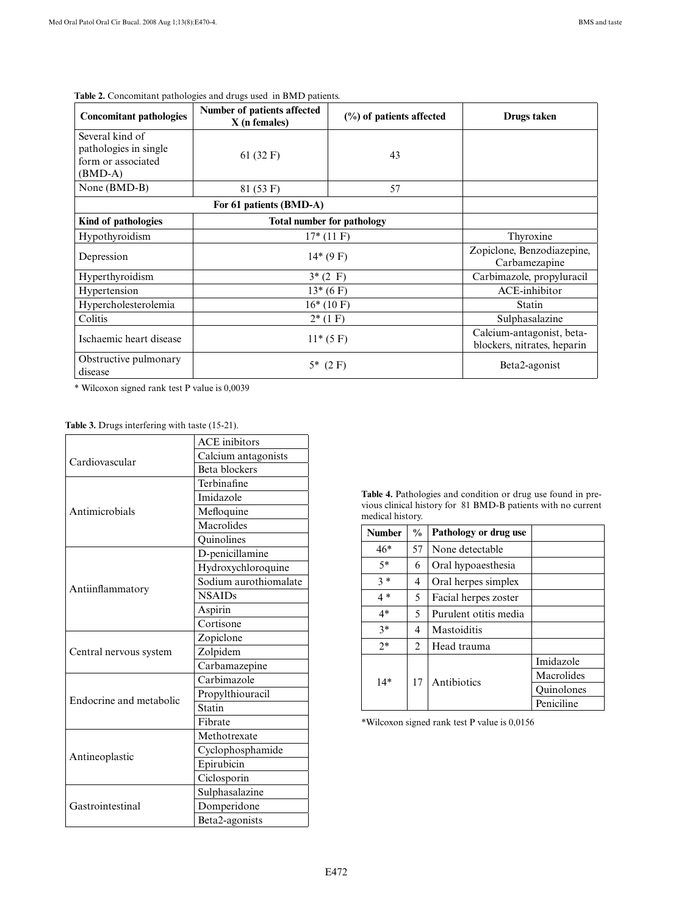| <b>Concomitant pathologies</b>                                            | Number of patients affected<br>$X$ (n females) | $(\%)$ of patients affected | Drugs taken                                              |  |
|---------------------------------------------------------------------------|------------------------------------------------|-----------------------------|----------------------------------------------------------|--|
| Several kind of<br>pathologies in single<br>form or associated<br>(BMD-A) | 61 $(32 F)$                                    | 43                          |                                                          |  |
| None (BMD-B)                                                              | 81 (53 F)                                      | 57                          |                                                          |  |
|                                                                           |                                                |                             |                                                          |  |
| Kind of pathologies                                                       | <b>Total number for pathology</b>              |                             |                                                          |  |
| Hypothyroidism                                                            | $17*(11)$ F)                                   | Thyroxine                   |                                                          |  |
| Depression                                                                | $14*(9F)$                                      |                             | Zopiclone, Benzodiazepine,<br>Carbamezapine              |  |
| Hyperthyroidism                                                           | $3*(2)$ F)                                     |                             | Carbimazole, propyluracil                                |  |
| Hypertension                                                              | $13*(6 F)$                                     |                             | ACE-inhibitor                                            |  |
| Hypercholesterolemia                                                      | $16*(10)$ F)                                   | Statin                      |                                                          |  |
| Colitis                                                                   | $2*(1)$                                        | Sulphasalazine              |                                                          |  |
| Ischaemic heart disease                                                   | $11*(5 F)$                                     |                             | Calcium-antagonist, beta-<br>blockers, nitrates, heparin |  |
| Obstructive pulmonary<br>disease                                          | $5*$ (2 F)                                     |                             | Beta2-agonist                                            |  |

## **Table 2.** Concomitant pathologies and drugs used in BMD patients.

\* Wilcoxon signed rank test P value is 0,0039

### **Table 3.** Drugs interfering with taste (15-21).

|                         | <b>ACE</b> inibitors  |  |  |
|-------------------------|-----------------------|--|--|
| Cardiovascular          | Calcium antagonists   |  |  |
|                         | Beta blockers         |  |  |
|                         | Terbinafine           |  |  |
|                         | Imidazole             |  |  |
| Antimicrobials          | Mefloquine            |  |  |
|                         | Macrolides            |  |  |
|                         | Quinolines            |  |  |
|                         | D-penicillamine       |  |  |
|                         | Hydroxychloroquine    |  |  |
|                         | Sodium aurothiomalate |  |  |
| Antiinflammatory        | <b>NSAIDs</b>         |  |  |
|                         | Aspirin               |  |  |
|                         | Cortisone             |  |  |
|                         | Zopiclone             |  |  |
| Central nervous system  | Zolpidem              |  |  |
|                         | Carbamazepine         |  |  |
|                         | Carbimazole           |  |  |
| Endocrine and metabolic | Propylthiouracil      |  |  |
|                         | Statin                |  |  |
|                         | Fibrate               |  |  |
|                         | Methotrexate          |  |  |
|                         | Cyclophosphamide      |  |  |
| Antineoplastic          | Epirubicin            |  |  |
|                         | Ciclosporin           |  |  |
|                         | Sulphasalazine        |  |  |
| Gastrointestinal        | Domperidone           |  |  |
|                         | Beta2-agonists        |  |  |

**Table 4.** Pathologies and condition or drug use found in previous clinical history for 81 BMD-B patients with no current medical history.

| <b>Number</b> | $\frac{0}{0}$ | Pathology or drug use |                   |  |
|---------------|---------------|-----------------------|-------------------|--|
| $46*$         | 57            | None detectable       |                   |  |
| $5*$          | 6             | Oral hypoaesthesia    |                   |  |
| $3 *$         | 4             | Oral herpes simplex   |                   |  |
| $4*$          | 5.            | Facial herpes zoster  |                   |  |
| $4*$          | 5             | Purulent otitis media |                   |  |
| $3*$          | 4             | Mastoiditis           |                   |  |
| $2*$          | 2             | Head trauma           |                   |  |
| $14*$         | 17            |                       | Imidazole         |  |
|               |               | Antibiotics           | Macrolides        |  |
|               |               |                       | <b>Ouinolones</b> |  |
|               |               |                       | Peniciline        |  |

\*Wilcoxon signed rank test P value is 0,0156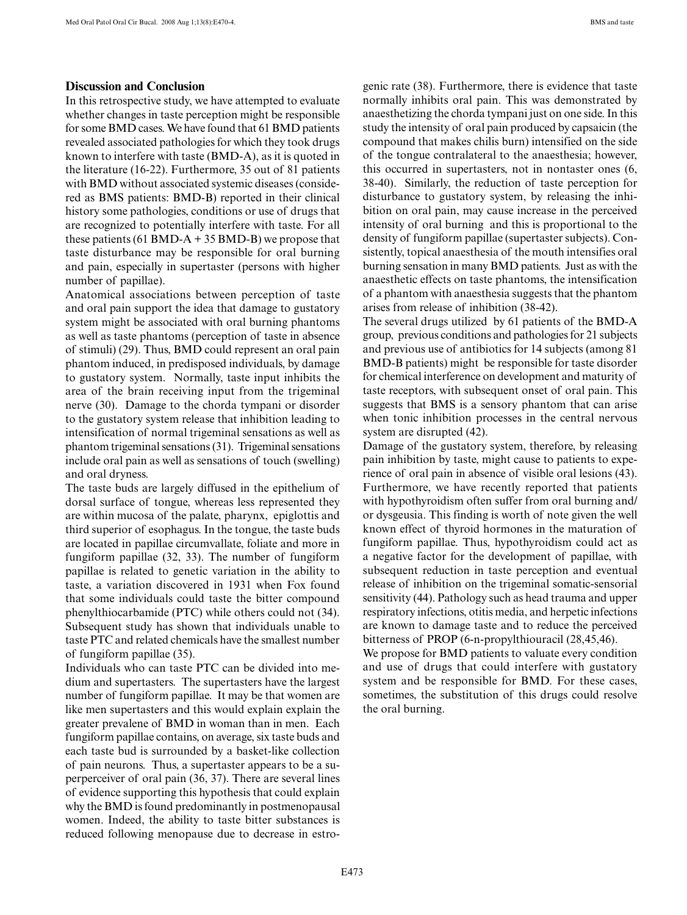#### **Discussion and Conclusion**

In this retrospective study, we have attempted to evaluate whether changes in taste perception might be responsible for some BMD cases. We have found that 61 BMD patients revealed associated pathologies for which they took drugs known to interfere with taste (BMD-A), as it is quoted in the literature (16-22). Furthermore, 35 out of 81 patients with BMD without associated systemic diseases (considered as BMS patients: BMD-B) reported in their clinical history some pathologies, conditions or use of drugs that are recognized to potentially interfere with taste. For all these patients (61 BMD-A + 35 BMD-B) we propose that taste disturbance may be responsible for oral burning and pain, especially in supertaster (persons with higher number of papillae).

Anatomical associations between perception of taste and oral pain support the idea that damage to gustatory system might be associated with oral burning phantoms as well as taste phantoms (perception of taste in absence of stimuli) (29). Thus, BMD could represent an oral pain phantom induced, in predisposed individuals, by damage to gustatory system. Normally, taste input inhibits the area of the brain receiving input from the trigeminal nerve (30). Damage to the chorda tympani or disorder to the gustatory system release that inhibition leading to intensification of normal trigeminal sensations as well as phantom trigeminal sensations (31). Trigeminal sensations include oral pain as well as sensations of touch (swelling) and oral dryness.

The taste buds are largely diffused in the epithelium of dorsal surface of tongue, whereas less represented they are within mucosa of the palate, pharynx, epiglottis and third superior of esophagus. In the tongue, the taste buds are located in papillae circumvallate, foliate and more in fungiform papillae (32, 33). The number of fungiform papillae is related to genetic variation in the ability to taste, a variation discovered in 1931 when Fox found that some individuals could taste the bitter compound phenylthiocarbamide (PTC) while others could not (34). Subsequent study has shown that individuals unable to taste PTC and related chemicals have the smallest number of fungiform papillae (35).

Individuals who can taste PTC can be divided into medium and supertasters. The supertasters have the largest number of fungiform papillae. It may be that women are like men supertasters and this would explain explain the greater prevalene of BMD in woman than in men. Each fungiform papillae contains, on average, six taste buds and each taste bud is surrounded by a basket-like collection of pain neurons. Thus, a supertaster appears to be a superperceiver of oral pain (36, 37). There are several lines of evidence supporting this hypothesis that could explain why the BMD is found predominantly in postmenopausal women. Indeed, the ability to taste bitter substances is reduced following menopause due to decrease in estrogenic rate (38). Furthermore, there is evidence that taste normally inhibits oral pain. This was demonstrated by anaesthetizing the chorda tympani just on one side. In this study the intensity of oral pain produced by capsaicin (the compound that makes chilis burn) intensified on the side of the tongue contralateral to the anaesthesia; however, this occurred in supertasters, not in nontaster ones (6, 38-40). Similarly, the reduction of taste perception for disturbance to gustatory system, by releasing the inhibition on oral pain, may cause increase in the perceived intensity of oral burning and this is proportional to the density of fungiform papillae (supertaster subjects). Consistently, topical anaesthesia of the mouth intensifies oral burning sensation in many BMD patients. Just as with the anaesthetic effects on taste phantoms, the intensification of a phantom with anaesthesia suggests that the phantom arises from release of inhibition (38-42).

The several drugs utilized by 61 patients of the BMD-A group, previous conditions and pathologies for 21 subjects and previous use of antibiotics for 14 subjects (among 81 BMD-B patients) might be responsible for taste disorder for chemical interference on development and maturity of taste receptors, with subsequent onset of oral pain. This suggests that BMS is a sensory phantom that can arise when tonic inhibition processes in the central nervous system are disrupted (42).

Damage of the gustatory system, therefore, by releasing pain inhibition by taste, might cause to patients to experience of oral pain in absence of visible oral lesions (43). Furthermore, we have recently reported that patients with hypothyroidism often suffer from oral burning and/ or dysgeusia. This finding is worth of note given the well known effect of thyroid hormones in the maturation of fungiform papillae. Thus, hypothyroidism could act as a negative factor for the development of papillae, with subsequent reduction in taste perception and eventual release of inhibition on the trigeminal somatic-sensorial sensitivity (44). Pathology such as head trauma and upper respiratory infections, otitis media, and herpetic infections are known to damage taste and to reduce the perceived bitterness of PROP (6-n-propylthiouracil (28,45,46).

We propose for BMD patients to valuate every condition and use of drugs that could interfere with gustatory system and be responsible for BMD. For these cases, sometimes, the substitution of this drugs could resolve the oral burning.